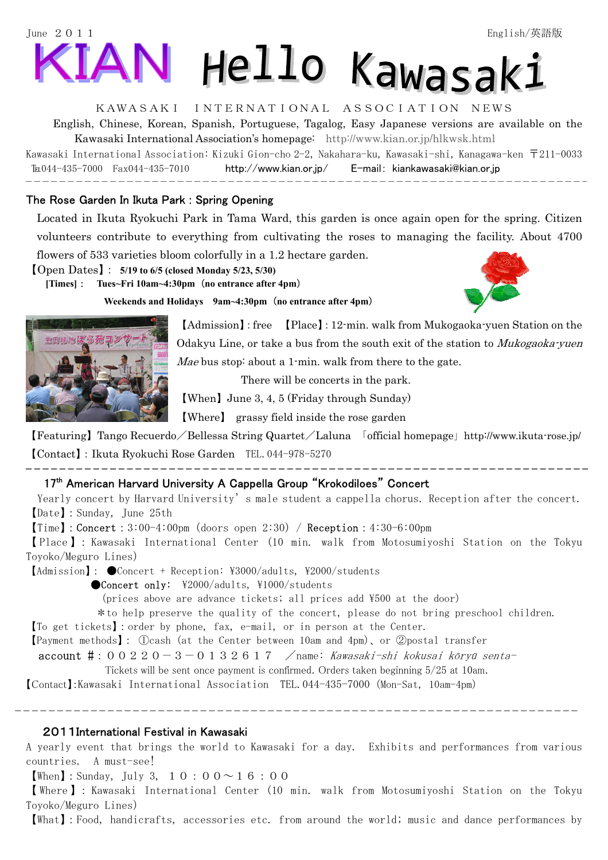# June 2011 English/英語版 Hello Kawasaki

## KAWASAKI INTERNATIONAL ASSOCIATION NEWS

English, Chinese, Korean, Spanish, Portuguese, Tagalog, Easy Japanese versions are available on the Kawasaki International Association's homepage: http://www.kian.or.jp/hlkwsk.html

Kawasaki International Association: Kizuki Gion-cho 2-2, Nakahara-ku, Kawasaki-shi, Kanagawa-ken 〒211-0033 ℡044-435-7000 Fax044-435-7010 http://www.kian.or.jp/ E-mail: kiankawasaki@kian.or.jp j

### The Rose Garden In Ikuta Park : Spring Opening

Located in Ikuta Ryokuchi Park in Tama Ward, this garden is once again open for the spring. Citizen volunteers contribute to everything from cultivating the roses to managing the facility. About 4700 flowers of 533 varieties bloom colorfully in a 1.2 hectare garden.

【Open Dates】: **5/19 to 6/5 (closed Monday 5/23, 5/30)** 

**[Times]**: **Tues~Fri 10am~4:30pm**(**no entrance after 4pm**)

\_\_\_\_\_\_\_\_\_\_\_\_\_\_\_\_\_\_\_\_\_\_\_\_\_\_



**Weekends and Holidays 9am~4:30pm**(**no entrance after 4pm**)



【Admission】:free 【Place】:12-min. walk from Mukogaoka-yuen Station on the Odakyu Line, or take a bus from the south exit of the station to *Mukogaoka-yuen* Mae bus stop: about a 1-min. walk from there to the gate.

There will be concerts in the park.

【When】June 3, 4, 5 (Friday through Sunday)

【Where】 grassy field inside the rose garden

【Featuring】Tango Recuerdo/Bellessa String Quartet/Laluna 「official homepage」http://www.ikuta-rose.jp/ 【Contact】:Ikuta Ryokuchi Rose Garden TEL.044-978-5270

#### 17<sup>th</sup> American Harvard University A Cappella Group "Krokodiloes" Concert

Yearly concert by Harvard University's male student a cappella chorus. Reception after the concert. 【Date】:Sunday, June 25th

 $[\text{Time}]$ : Concert: 3:00-4:00pm (doors open 2:30) / Reception: 4:30-6:00pm

【 Place 】: Kawasaki International Center (10 min. walk from Motosumiyoshi Station on the Tokyu Toyoko/Meguro Lines)

【Admission】: ●Concert + Reception: \3000/adults, \2000/students

●Concert only: \2000/adults, \1000/students

(prices above are advance tickets; all prices add \500 at the door)

\*to help preserve the quality of the concert, please do not bring preschool children.

【To get tickets】:order by phone, fax, e-mail, or in person at the Center.

【Payment methods】: ①cash(at the Center between 10am and 4pm)、or ②postal transfer

**account #**: 00220-3-0132617 /name: Kawasaki-shi kokusai kōryū senta-

Tickets will be sent once payment is confirmed. Orders taken beginning 5/25 at 10am.

【Contact】:Kawasaki International Association TEL.044-435-7000(Mon-Sat, 10am-4pm)

#### 2011International Festival in Kawasaki

Ī

A yearly event that brings the world to Kawasaki for a day. Exhibits and performances from various countries. A must-see!

**[When]**: Sunday, July 3,  $1 \ 0 \ : 0 \ 0 \sim 1 \ 6 \ : 0 \ 0$ 

【 Where 】: Kawasaki International Center (10 min. walk from Motosumiyoshi Station on the Tokyu Toyoko/Meguro Lines)

【What】:Food, handicrafts, accessories etc. from around the world; music and dance performances by